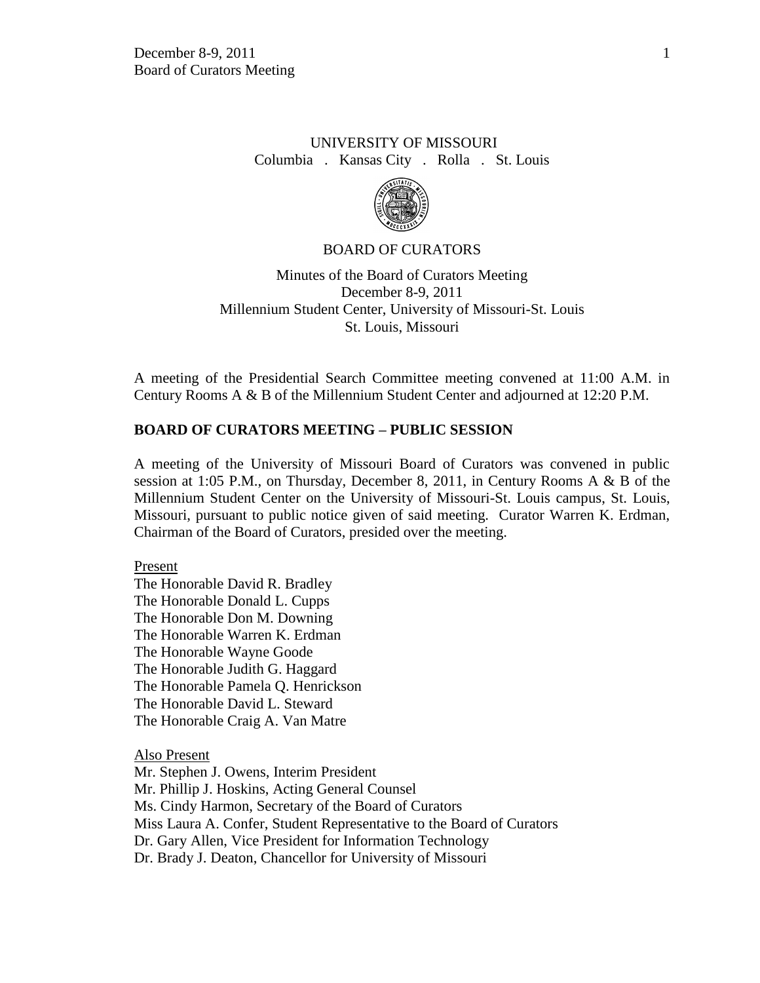# UNIVERSITY OF MISSOURI Columbia . Kansas City . Rolla . St. Louis



### BOARD OF CURATORS

Minutes of the Board of Curators Meeting December 8-9, 2011 Millennium Student Center, University of Missouri-St. Louis St. Louis, Missouri

A meeting of the Presidential Search Committee meeting convened at 11:00 A.M. in Century Rooms A & B of the Millennium Student Center and adjourned at 12:20 P.M.

### **BOARD OF CURATORS MEETING – PUBLIC SESSION**

A meeting of the University of Missouri Board of Curators was convened in public session at 1:05 P.M., on Thursday, December 8, 2011, in Century Rooms A & B of the Millennium Student Center on the University of Missouri-St. Louis campus, St. Louis, Missouri, pursuant to public notice given of said meeting. Curator Warren K. Erdman, Chairman of the Board of Curators, presided over the meeting.

#### Present

The Honorable David R. Bradley The Honorable Donald L. Cupps The Honorable Don M. Downing The Honorable Warren K. Erdman The Honorable Wayne Goode The Honorable Judith G. Haggard The Honorable Pamela Q. Henrickson The Honorable David L. Steward The Honorable Craig A. Van Matre

Also Present

Mr. Stephen J. Owens, Interim President Mr. Phillip J. Hoskins, Acting General Counsel Ms. Cindy Harmon, Secretary of the Board of Curators Miss Laura A. Confer, Student Representative to the Board of Curators Dr. Gary Allen, Vice President for Information Technology Dr. Brady J. Deaton, Chancellor for University of Missouri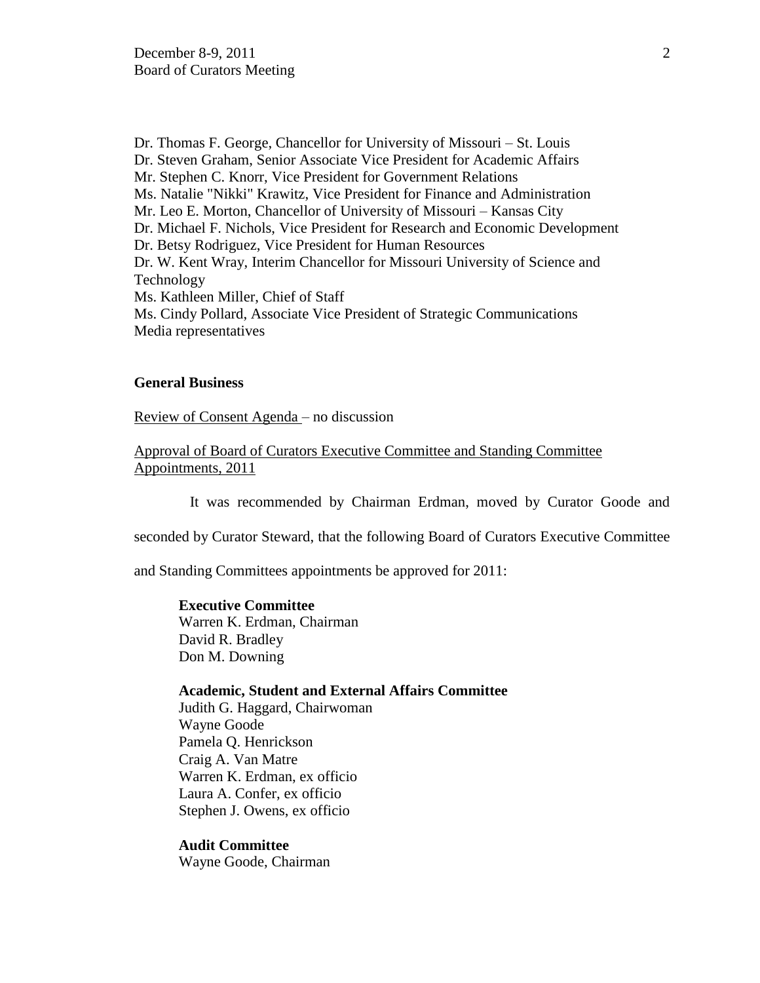Dr. Thomas F. George, Chancellor for University of Missouri – St. Louis Dr. Steven Graham, Senior Associate Vice President for Academic Affairs Mr. Stephen C. Knorr, Vice President for Government Relations Ms. Natalie "Nikki" Krawitz, Vice President for Finance and Administration Mr. Leo E. Morton, Chancellor of University of Missouri – Kansas City Dr. Michael F. Nichols, Vice President for Research and Economic Development Dr. Betsy Rodriguez, Vice President for Human Resources Dr. W. Kent Wray, Interim Chancellor for Missouri University of Science and Technology Ms. Kathleen Miller, Chief of Staff Ms. Cindy Pollard, Associate Vice President of Strategic Communications Media representatives

# **General Business**

Review of Consent Agenda – no discussion

Approval of Board of Curators Executive Committee and Standing Committee Appointments, 2011

It was recommended by Chairman Erdman, moved by Curator Goode and

seconded by Curator Steward, that the following Board of Curators Executive Committee

and Standing Committees appointments be approved for 2011:

#### **Executive Committee**

Warren K. Erdman, Chairman David R. Bradley Don M. Downing

#### **Academic, Student and External Affairs Committee**

Judith G. Haggard, Chairwoman Wayne Goode Pamela Q. Henrickson Craig A. Van Matre Warren K. Erdman, ex officio Laura A. Confer, ex officio Stephen J. Owens, ex officio

### **Audit Committee**

Wayne Goode, Chairman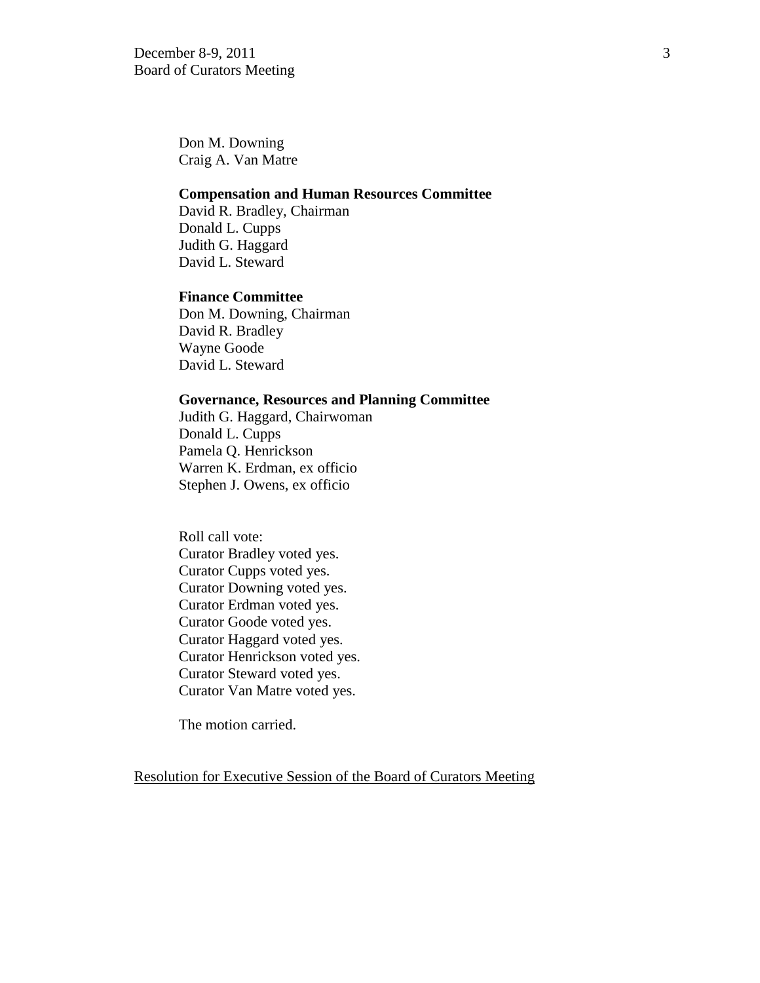Don M. Downing Craig A. Van Matre

### **Compensation and Human Resources Committee**

David R. Bradley, Chairman Donald L. Cupps Judith G. Haggard David L. Steward

### **Finance Committee**

Don M. Downing, Chairman David R. Bradley Wayne Goode David L. Steward

### **Governance, Resources and Planning Committee**

Judith G. Haggard, Chairwoman Donald L. Cupps Pamela Q. Henrickson Warren K. Erdman, ex officio Stephen J. Owens, ex officio

Roll call vote: Curator Bradley voted yes. Curator Cupps voted yes. Curator Downing voted yes. Curator Erdman voted yes. Curator Goode voted yes. Curator Haggard voted yes. Curator Henrickson voted yes. Curator Steward voted yes. Curator Van Matre voted yes.

The motion carried.

Resolution for Executive Session of the Board of Curators Meeting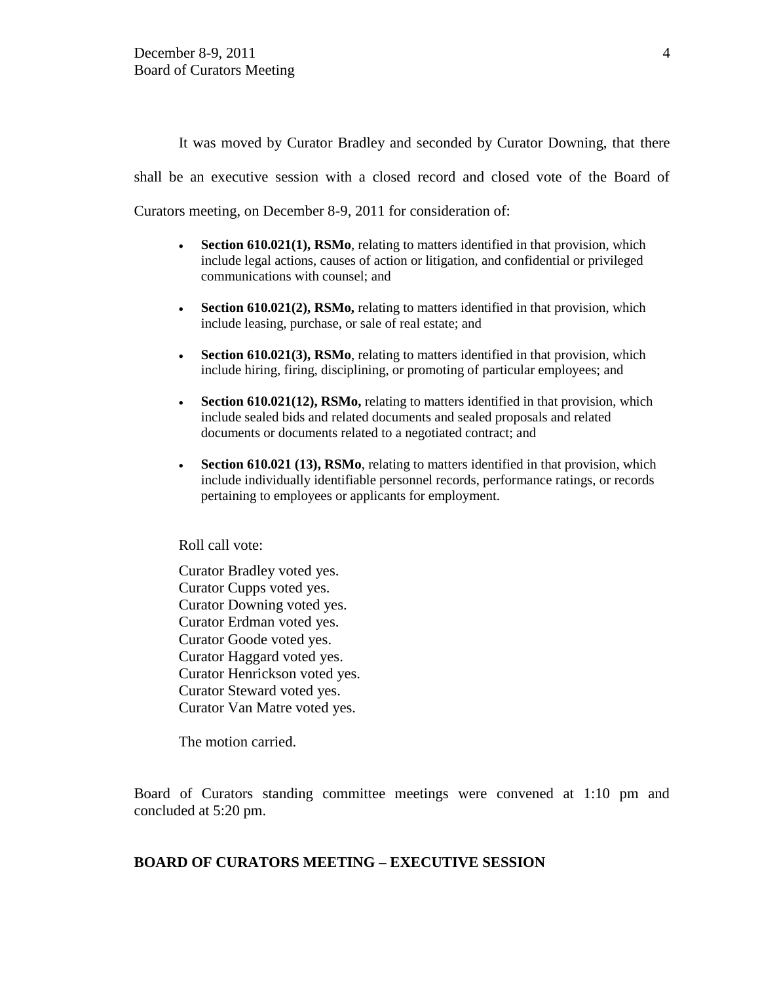It was moved by Curator Bradley and seconded by Curator Downing, that there shall be an executive session with a closed record and closed vote of the Board of Curators meeting, on December 8-9, 2011 for consideration of:

- **Section 610.021(1), RSMo**, relating to matters identified in that provision, which include legal actions, causes of action or litigation, and confidential or privileged communications with counsel; and
- Section 610.021(2), RSMo, relating to matters identified in that provision, which include leasing, purchase, or sale of real estate; and
- **Section 610.021(3), RSMo**, relating to matters identified in that provision, which include hiring, firing, disciplining, or promoting of particular employees; and
- **Section 610.021(12), RSMo,** relating to matters identified in that provision, which include sealed bids and related documents and sealed proposals and related documents or documents related to a negotiated contract; and
- **Section 610.021 (13), RSMo**, relating to matters identified in that provision, which include individually identifiable personnel records, performance ratings, or records pertaining to employees or applicants for employment.

Roll call vote:

Curator Bradley voted yes. Curator Cupps voted yes. Curator Downing voted yes. Curator Erdman voted yes. Curator Goode voted yes. Curator Haggard voted yes. Curator Henrickson voted yes. Curator Steward voted yes. Curator Van Matre voted yes.

The motion carried.

Board of Curators standing committee meetings were convened at 1:10 pm and concluded at 5:20 pm.

### **BOARD OF CURATORS MEETING – EXECUTIVE SESSION**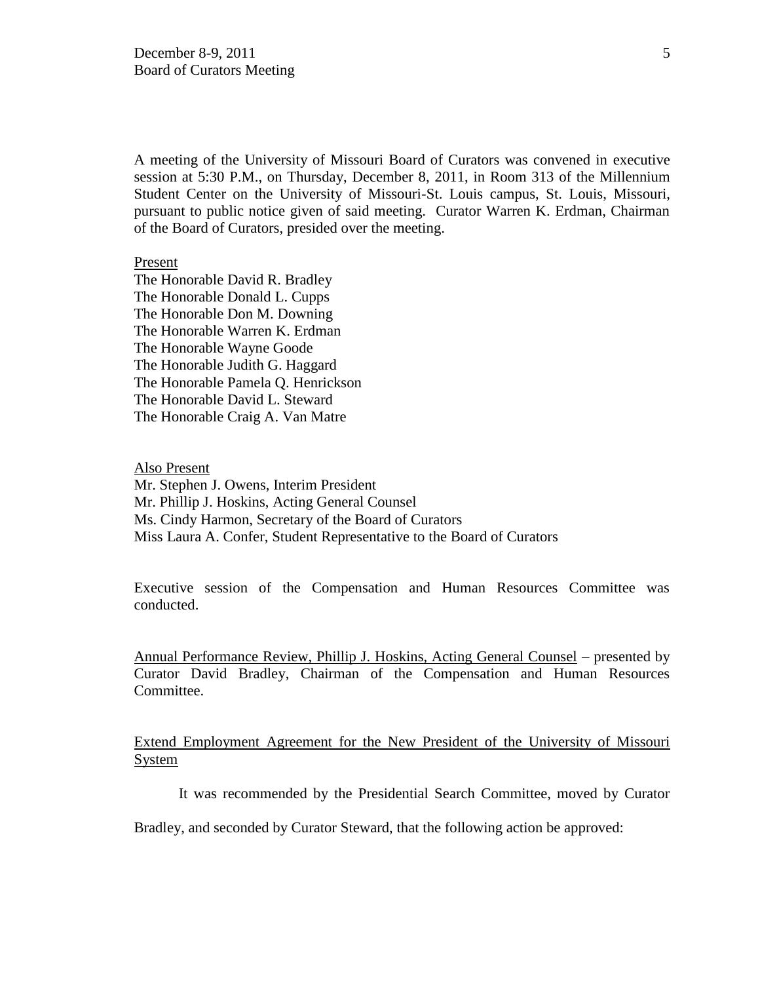A meeting of the University of Missouri Board of Curators was convened in executive session at 5:30 P.M., on Thursday, December 8, 2011, in Room 313 of the Millennium Student Center on the University of Missouri-St. Louis campus, St. Louis, Missouri, pursuant to public notice given of said meeting. Curator Warren K. Erdman, Chairman of the Board of Curators, presided over the meeting.

### Present

The Honorable David R. Bradley The Honorable Donald L. Cupps The Honorable Don M. Downing The Honorable Warren K. Erdman The Honorable Wayne Goode The Honorable Judith G. Haggard The Honorable Pamela Q. Henrickson The Honorable David L. Steward The Honorable Craig A. Van Matre

Also Present Mr. Stephen J. Owens, Interim President Mr. Phillip J. Hoskins, Acting General Counsel Ms. Cindy Harmon, Secretary of the Board of Curators Miss Laura A. Confer, Student Representative to the Board of Curators

Executive session of the Compensation and Human Resources Committee was conducted.

Annual Performance Review, Phillip J. Hoskins, Acting General Counsel – presented by Curator David Bradley, Chairman of the Compensation and Human Resources Committee.

Extend Employment Agreement for the New President of the University of Missouri System

It was recommended by the Presidential Search Committee, moved by Curator

Bradley, and seconded by Curator Steward, that the following action be approved: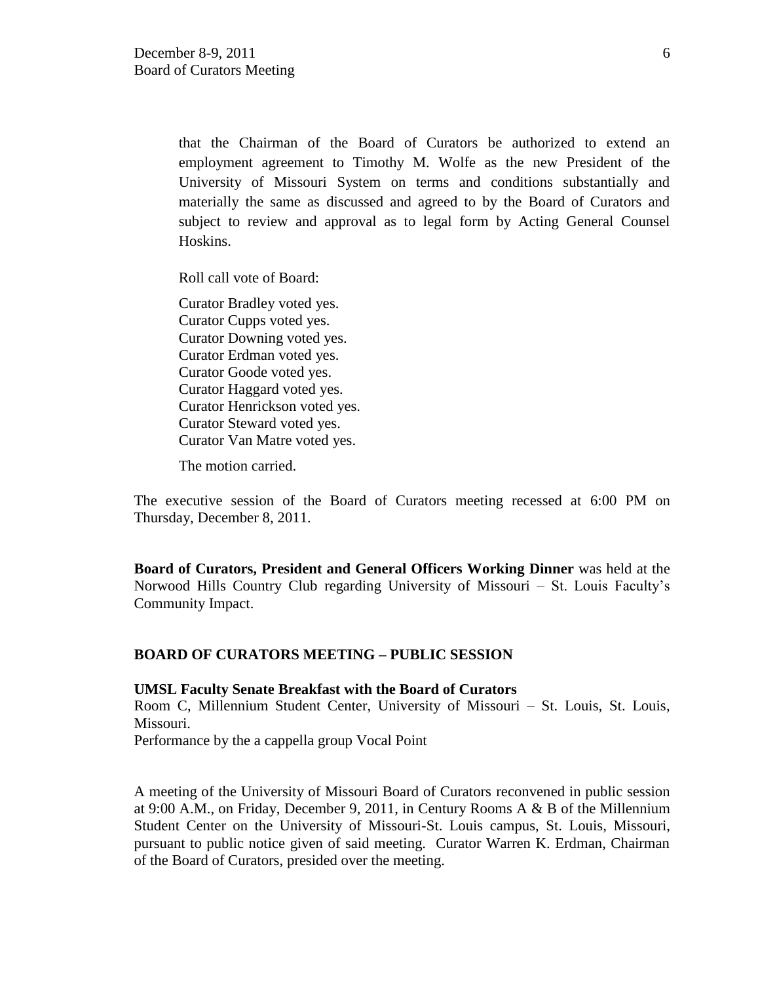that the Chairman of the Board of Curators be authorized to extend an employment agreement to Timothy M. Wolfe as the new President of the University of Missouri System on terms and conditions substantially and materially the same as discussed and agreed to by the Board of Curators and subject to review and approval as to legal form by Acting General Counsel Hoskins.

Roll call vote of Board:

Curator Bradley voted yes. Curator Cupps voted yes. Curator Downing voted yes. Curator Erdman voted yes. Curator Goode voted yes. Curator Haggard voted yes. Curator Henrickson voted yes. Curator Steward voted yes. Curator Van Matre voted yes.

The motion carried.

The executive session of the Board of Curators meeting recessed at 6:00 PM on Thursday, December 8, 2011.

**Board of Curators, President and General Officers Working Dinner** was held at the Norwood Hills Country Club regarding University of Missouri – St. Louis Faculty's Community Impact.

# **BOARD OF CURATORS MEETING – PUBLIC SESSION**

### **UMSL Faculty Senate Breakfast with the Board of Curators**

Room C, Millennium Student Center, University of Missouri – St. Louis, St. Louis, Missouri.

Performance by the a cappella group Vocal Point

A meeting of the University of Missouri Board of Curators reconvened in public session at 9:00 A.M., on Friday, December 9, 2011, in Century Rooms A & B of the Millennium Student Center on the University of Missouri-St. Louis campus, St. Louis, Missouri, pursuant to public notice given of said meeting. Curator Warren K. Erdman, Chairman of the Board of Curators, presided over the meeting.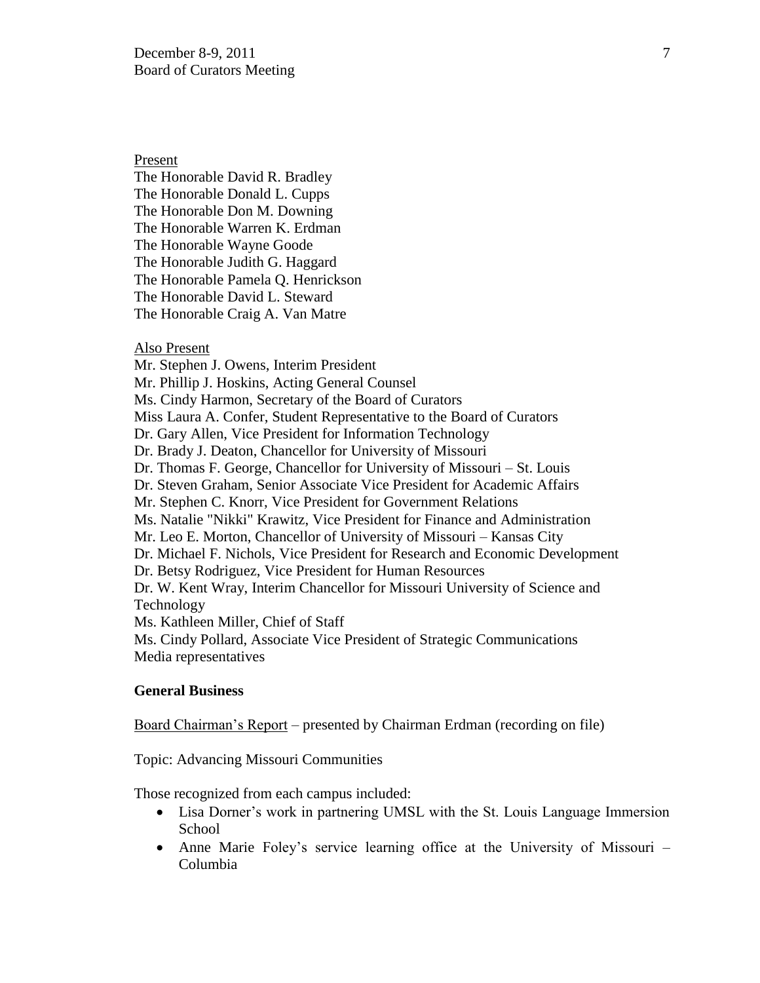Present

The Honorable David R. Bradley The Honorable Donald L. Cupps The Honorable Don M. Downing The Honorable Warren K. Erdman The Honorable Wayne Goode The Honorable Judith G. Haggard The Honorable Pamela Q. Henrickson The Honorable David L. Steward The Honorable Craig A. Van Matre

### Also Present

Mr. Stephen J. Owens, Interim President Mr. Phillip J. Hoskins, Acting General Counsel Ms. Cindy Harmon, Secretary of the Board of Curators Miss Laura A. Confer, Student Representative to the Board of Curators Dr. Gary Allen, Vice President for Information Technology Dr. Brady J. Deaton, Chancellor for University of Missouri Dr. Thomas F. George, Chancellor for University of Missouri – St. Louis Dr. Steven Graham, Senior Associate Vice President for Academic Affairs Mr. Stephen C. Knorr, Vice President for Government Relations Ms. Natalie "Nikki" Krawitz, Vice President for Finance and Administration Mr. Leo E. Morton, Chancellor of University of Missouri – Kansas City Dr. Michael F. Nichols, Vice President for Research and Economic Development Dr. Betsy Rodriguez, Vice President for Human Resources Dr. W. Kent Wray, Interim Chancellor for Missouri University of Science and Technology Ms. Kathleen Miller, Chief of Staff Ms. Cindy Pollard, Associate Vice President of Strategic Communications Media representatives

# **General Business**

Board Chairman's Report – presented by Chairman Erdman (recording on file)

Topic: Advancing Missouri Communities

Those recognized from each campus included:

- Lisa Dorner's work in partnering UMSL with the St. Louis Language Immersion School
- Anne Marie Foley's service learning office at the University of Missouri Columbia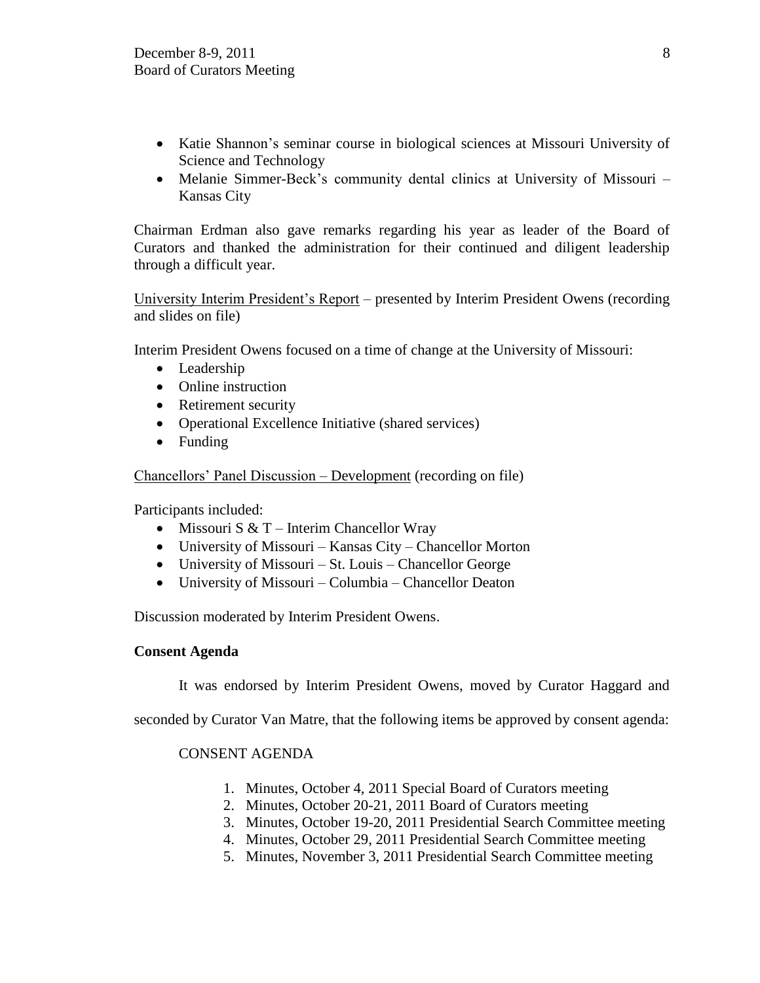- Katie Shannon's seminar course in biological sciences at Missouri University of Science and Technology
- Melanie Simmer-Beck's community dental clinics at University of Missouri Kansas City

Chairman Erdman also gave remarks regarding his year as leader of the Board of Curators and thanked the administration for their continued and diligent leadership through a difficult year.

University Interim President's Report – presented by Interim President Owens (recording and slides on file)

Interim President Owens focused on a time of change at the University of Missouri:

- Leadership
- Online instruction
- Retirement security
- Operational Excellence Initiative (shared services)
- Funding

Chancellors' Panel Discussion – Development (recording on file)

Participants included:

- Missouri S  $& T$  Interim Chancellor Wray
- University of Missouri Kansas City Chancellor Morton
- University of Missouri St. Louis Chancellor George
- University of Missouri Columbia Chancellor Deaton

Discussion moderated by Interim President Owens.

# **Consent Agenda**

It was endorsed by Interim President Owens, moved by Curator Haggard and

seconded by Curator Van Matre, that the following items be approved by consent agenda:

# CONSENT AGENDA

- 1. Minutes, October 4, 2011 Special Board of Curators meeting
- 2. Minutes, October 20-21, 2011 Board of Curators meeting
- 3. Minutes, October 19-20, 2011 Presidential Search Committee meeting
- 4. Minutes, October 29, 2011 Presidential Search Committee meeting
- 5. Minutes, November 3, 2011 Presidential Search Committee meeting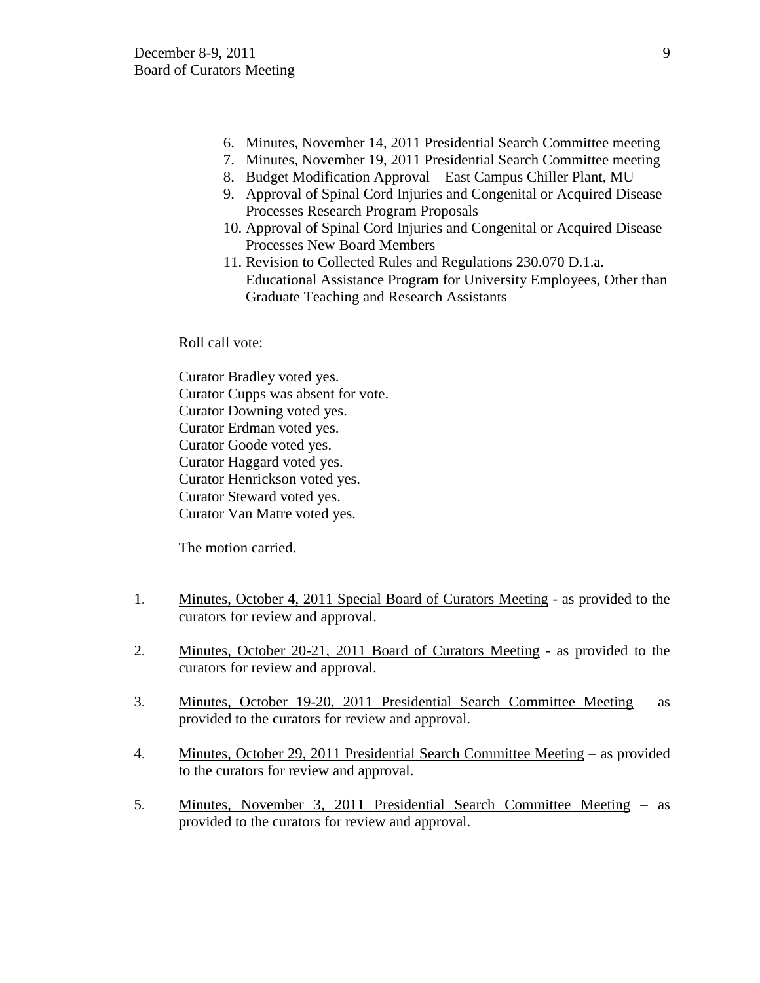- 6. Minutes, November 14, 2011 Presidential Search Committee meeting
- 7. Minutes, November 19, 2011 Presidential Search Committee meeting
- 8. Budget Modification Approval East Campus Chiller Plant, MU
- 9. Approval of Spinal Cord Injuries and Congenital or Acquired Disease Processes Research Program Proposals
- 10. Approval of Spinal Cord Injuries and Congenital or Acquired Disease Processes New Board Members
- 11. Revision to Collected Rules and Regulations 230.070 D.1.a. Educational Assistance Program for University Employees, Other than Graduate Teaching and Research Assistants

Roll call vote:

Curator Bradley voted yes. Curator Cupps was absent for vote. Curator Downing voted yes. Curator Erdman voted yes. Curator Goode voted yes. Curator Haggard voted yes. Curator Henrickson voted yes. Curator Steward voted yes. Curator Van Matre voted yes.

The motion carried.

- 1. Minutes, October 4, 2011 Special Board of Curators Meeting as provided to the curators for review and approval.
- 2. Minutes, October 20-21, 2011 Board of Curators Meeting as provided to the curators for review and approval.
- 3. Minutes, October 19-20, 2011 Presidential Search Committee Meeting as provided to the curators for review and approval.
- 4. Minutes, October 29, 2011 Presidential Search Committee Meeting as provided to the curators for review and approval.
- 5. Minutes, November 3, 2011 Presidential Search Committee Meeting as provided to the curators for review and approval.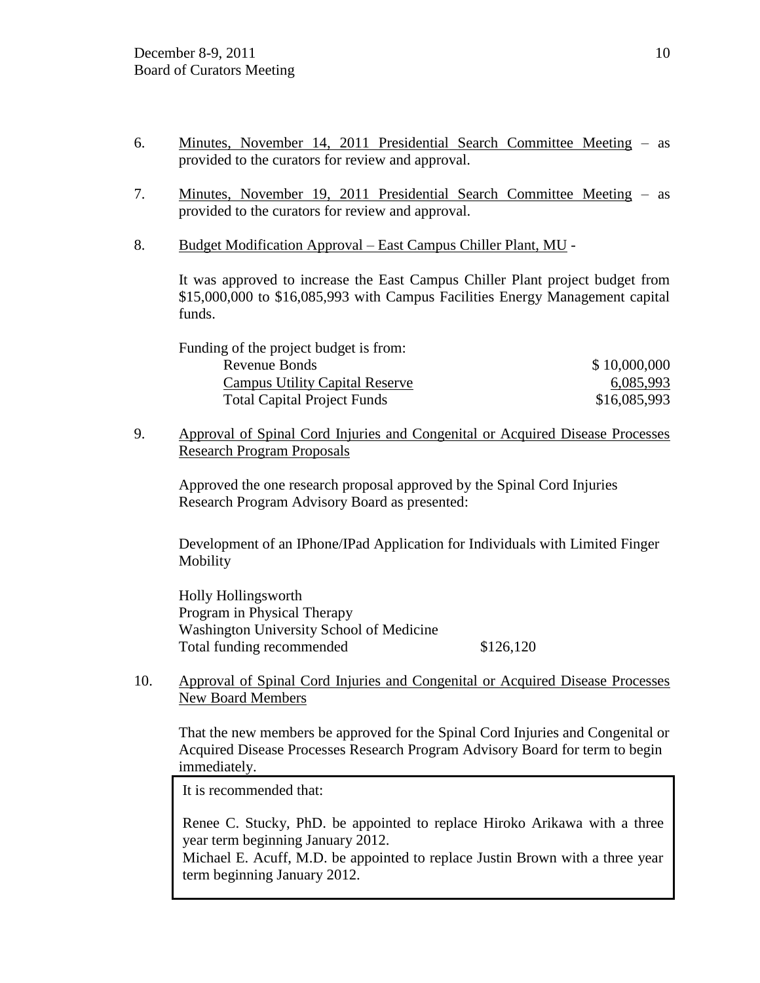- 6. Minutes, November 14, 2011 Presidential Search Committee Meeting as provided to the curators for review and approval.
- 7. Minutes, November 19, 2011 Presidential Search Committee Meeting as provided to the curators for review and approval.
- 8. Budget Modification Approval East Campus Chiller Plant, MU -

It was approved to increase the East Campus Chiller Plant project budget from \$15,000,000 to \$16,085,993 with Campus Facilities Energy Management capital funds.

| \$10,000,000 |
|--------------|
| 6,085,993    |
| \$16,085,993 |
|              |

9. Approval of Spinal Cord Injuries and Congenital or Acquired Disease Processes Research Program Proposals

Approved the one research proposal approved by the Spinal Cord Injuries Research Program Advisory Board as presented:

Development of an IPhone/IPad Application for Individuals with Limited Finger Mobility

Holly Hollingsworth Program in Physical Therapy Washington University School of Medicine Total funding recommended  $$126,120$ 

10. Approval of Spinal Cord Injuries and Congenital or Acquired Disease Processes New Board Members

That the new members be approved for the Spinal Cord Injuries and Congenital or Acquired Disease Processes Research Program Advisory Board for term to begin immediately.

It is recommended that:

 Renee C. Stucky, PhD. be appointed to replace Hiroko Arikawa with a three year term beginning January 2012.

 Michael E. Acuff, M.D. be appointed to replace Justin Brown with a three year term beginning January 2012.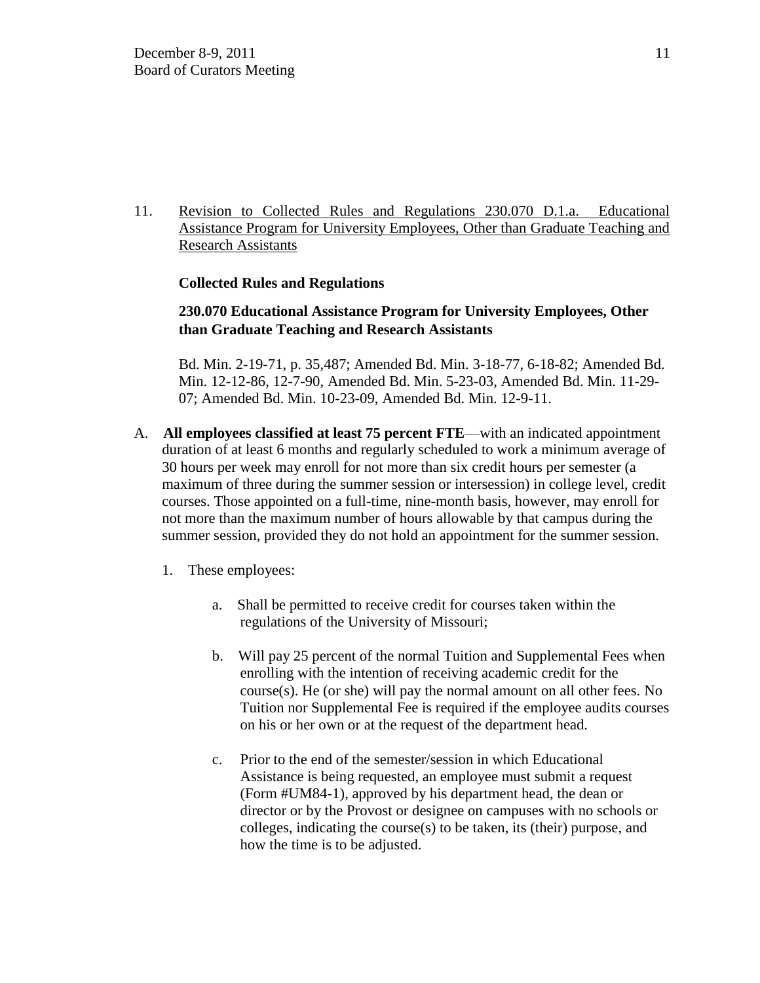11. Revision to Collected Rules and Regulations 230.070 D.1.a. Educational Assistance Program for University Employees, Other than Graduate Teaching and Research Assistants

# **Collected Rules and Regulations**

# **230.070 Educational Assistance Program for University Employees, Other than Graduate Teaching and Research Assistants**

Bd. Min. 2-19-71, p. 35,487; Amended Bd. Min. 3-18-77, 6-18-82; Amended Bd. Min. 12-12-86, 12-7-90, Amended Bd. Min. 5-23-03, Amended Bd. Min. 11-29- 07; Amended Bd. Min. 10-23-09, Amended Bd. Min. 12-9-11.

- A. **All employees classified at least 75 percent FTE**—with an indicated appointment duration of at least 6 months and regularly scheduled to work a minimum average of 30 hours per week may enroll for not more than six credit hours per semester (a maximum of three during the summer session or intersession) in college level, credit courses. Those appointed on a full-time, nine-month basis, however, may enroll for not more than the maximum number of hours allowable by that campus during the summer session, provided they do not hold an appointment for the summer session.
	- 1. These employees:
		- a. Shall be permitted to receive credit for courses taken within the regulations of the University of Missouri;
		- b. Will pay 25 percent of the normal Tuition and Supplemental Fees when enrolling with the intention of receiving academic credit for the course(s). He (or she) will pay the normal amount on all other fees. No Tuition nor Supplemental Fee is required if the employee audits courses on his or her own or at the request of the department head.
		- c. Prior to the end of the semester/session in which Educational Assistance is being requested, an employee must submit a request (Form #UM84-1), approved by his department head, the dean or director or by the Provost or designee on campuses with no schools or colleges, indicating the course(s) to be taken, its (their) purpose, and how the time is to be adjusted.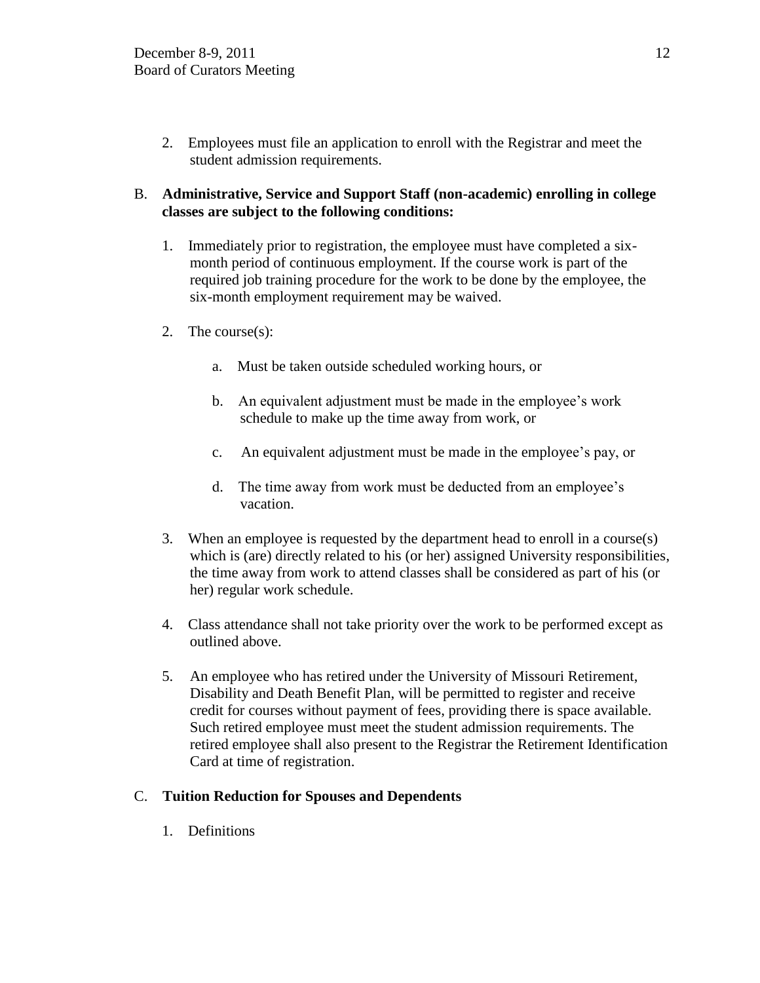2. Employees must file an application to enroll with the Registrar and meet the student admission requirements.

# B. **Administrative, Service and Support Staff (non-academic) enrolling in college classes are subject to the following conditions:**

- 1. Immediately prior to registration, the employee must have completed a sixmonth period of continuous employment. If the course work is part of the required job training procedure for the work to be done by the employee, the six-month employment requirement may be waived.
- 2. The course(s):
	- a. Must be taken outside scheduled working hours, or
	- b. An equivalent adjustment must be made in the employee's work schedule to make up the time away from work, or
	- c. An equivalent adjustment must be made in the employee's pay, or
	- d. The time away from work must be deducted from an employee's vacation.
- 3. When an employee is requested by the department head to enroll in a course(s) which is (are) directly related to his (or her) assigned University responsibilities, the time away from work to attend classes shall be considered as part of his (or her) regular work schedule.
- 4. Class attendance shall not take priority over the work to be performed except as outlined above.
- 5. An employee who has retired under the University of Missouri Retirement, Disability and Death Benefit Plan, will be permitted to register and receive credit for courses without payment of fees, providing there is space available. Such retired employee must meet the student admission requirements. The retired employee shall also present to the Registrar the Retirement Identification Card at time of registration.

# C. **Tuition Reduction for Spouses and Dependents**

1. Definitions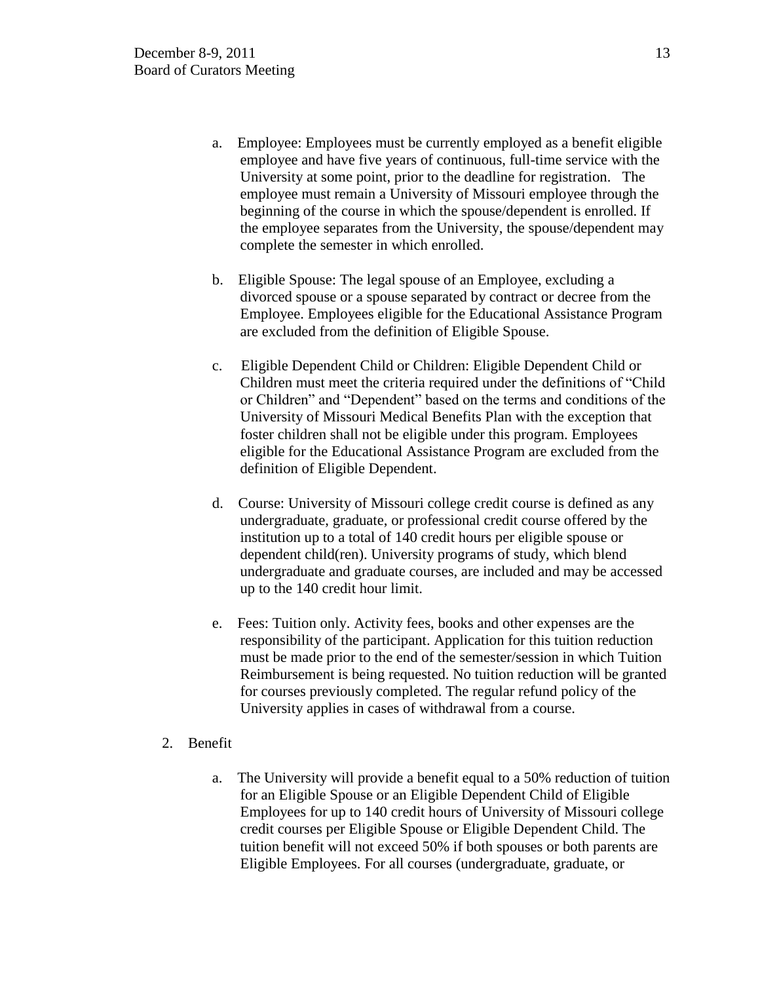- a. Employee: Employees must be currently employed as a benefit eligible employee and have five years of continuous, full-time service with the University at some point, prior to the deadline for registration. The employee must remain a University of Missouri employee through the beginning of the course in which the spouse/dependent is enrolled. If the employee separates from the University, the spouse/dependent may complete the semester in which enrolled.
- b. Eligible Spouse: The legal spouse of an Employee, excluding a divorced spouse or a spouse separated by contract or decree from the Employee. Employees eligible for the Educational Assistance Program are excluded from the definition of Eligible Spouse.
- c. Eligible Dependent Child or Children: Eligible Dependent Child or Children must meet the criteria required under the definitions of "Child" or Children" and "Dependent" based on the terms and conditions of the University of Missouri Medical Benefits Plan with the exception that foster children shall not be eligible under this program. Employees eligible for the Educational Assistance Program are excluded from the definition of Eligible Dependent.
- d. Course: University of Missouri college credit course is defined as any undergraduate, graduate, or professional credit course offered by the institution up to a total of 140 credit hours per eligible spouse or dependent child(ren). University programs of study, which blend undergraduate and graduate courses, are included and may be accessed up to the 140 credit hour limit.
- e. Fees: Tuition only. Activity fees, books and other expenses are the responsibility of the participant. Application for this tuition reduction must be made prior to the end of the semester/session in which Tuition Reimbursement is being requested. No tuition reduction will be granted for courses previously completed. The regular refund policy of the University applies in cases of withdrawal from a course.
- 2. Benefit
	- a. The University will provide a benefit equal to a 50% reduction of tuition for an Eligible Spouse or an Eligible Dependent Child of Eligible Employees for up to 140 credit hours of University of Missouri college credit courses per Eligible Spouse or Eligible Dependent Child. The tuition benefit will not exceed 50% if both spouses or both parents are Eligible Employees. For all courses (undergraduate, graduate, or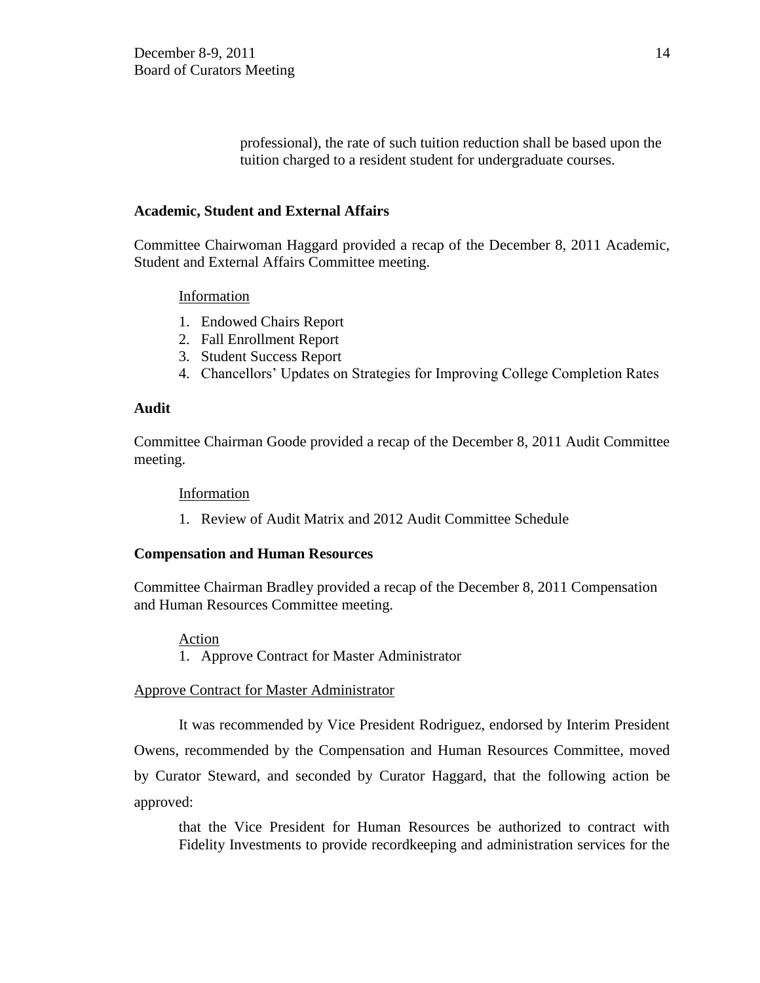professional), the rate of such tuition reduction shall be based upon the tuition charged to a resident student for undergraduate courses.

### **Academic, Student and External Affairs**

Committee Chairwoman Haggard provided a recap of the December 8, 2011 Academic, Student and External Affairs Committee meeting.

### Information

- 1. Endowed Chairs Report
- 2. Fall Enrollment Report
- 3. Student Success Report
- 4. Chancellors' Updates on Strategies for Improving College Completion Rates

### **Audit**

Committee Chairman Goode provided a recap of the December 8, 2011 Audit Committee meeting.

### Information

1. Review of Audit Matrix and 2012 Audit Committee Schedule

# **Compensation and Human Resources**

Committee Chairman Bradley provided a recap of the December 8, 2011 Compensation and Human Resources Committee meeting.

### Action 1. Approve Contract for Master Administrator

# Approve Contract for Master Administrator

It was recommended by Vice President Rodriguez, endorsed by Interim President Owens, recommended by the Compensation and Human Resources Committee, moved by Curator Steward, and seconded by Curator Haggard, that the following action be approved:

that the Vice President for Human Resources be authorized to contract with Fidelity Investments to provide recordkeeping and administration services for the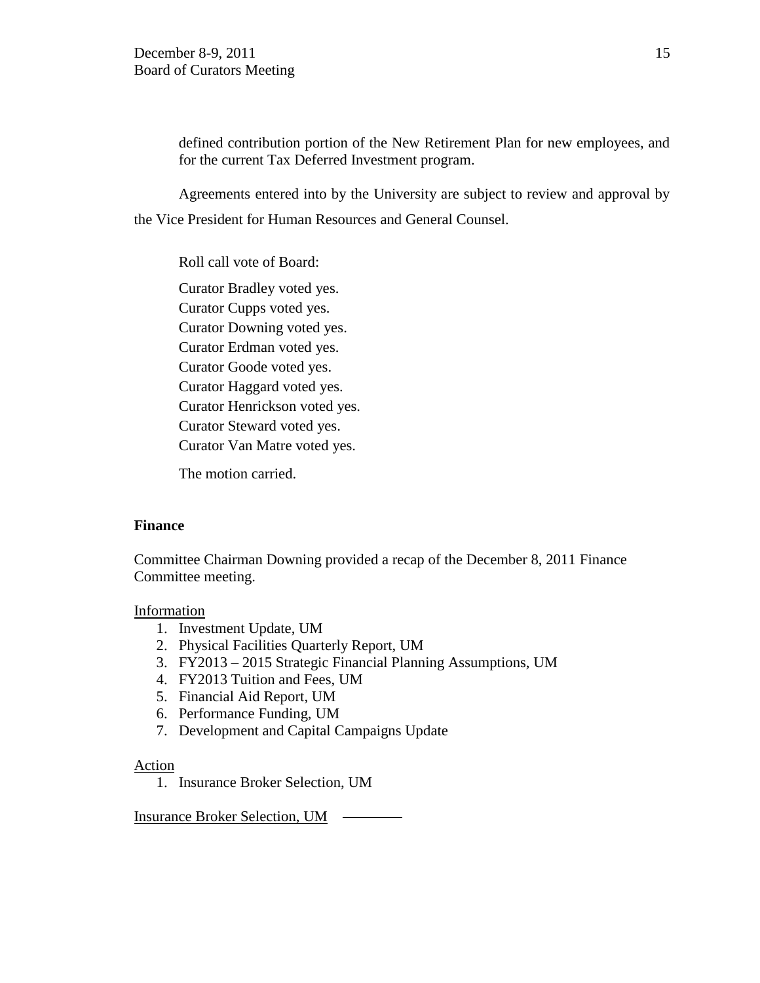defined contribution portion of the New Retirement Plan for new employees, and for the current Tax Deferred Investment program.

Agreements entered into by the University are subject to review and approval by the Vice President for Human Resources and General Counsel.

Roll call vote of Board:

Curator Bradley voted yes. Curator Cupps voted yes. Curator Downing voted yes. Curator Erdman voted yes. Curator Goode voted yes. Curator Haggard voted yes. Curator Henrickson voted yes. Curator Steward voted yes. Curator Van Matre voted yes.

The motion carried.

# **Finance**

Committee Chairman Downing provided a recap of the December 8, 2011 Finance Committee meeting.

# Information

- 1. Investment Update, UM
- 2. Physical Facilities Quarterly Report, UM
- 3. FY2013 2015 Strategic Financial Planning Assumptions, UM
- 4. FY2013 Tuition and Fees, UM
- 5. Financial Aid Report, UM
- 6. Performance Funding, UM
- 7. Development and Capital Campaigns Update

# Action

1. Insurance Broker Selection, UM

Insurance Broker Selection, UM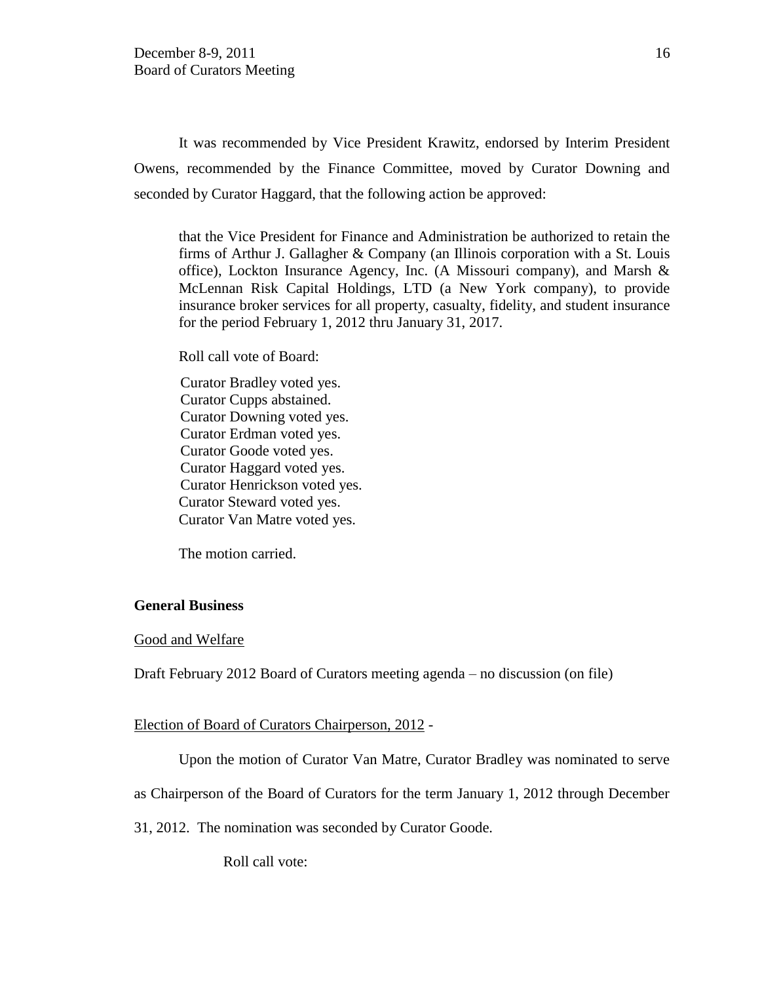It was recommended by Vice President Krawitz, endorsed by Interim President Owens, recommended by the Finance Committee, moved by Curator Downing and seconded by Curator Haggard, that the following action be approved:

that the Vice President for Finance and Administration be authorized to retain the firms of Arthur J. Gallagher & Company (an Illinois corporation with a St. Louis office), Lockton Insurance Agency, Inc. (A Missouri company), and Marsh & McLennan Risk Capital Holdings, LTD (a New York company), to provide insurance broker services for all property, casualty, fidelity, and student insurance for the period February 1, 2012 thru January 31, 2017.

Roll call vote of Board:

Curator Bradley voted yes. Curator Cupps abstained. Curator Downing voted yes. Curator Erdman voted yes. Curator Goode voted yes. Curator Haggard voted yes. Curator Henrickson voted yes. Curator Steward voted yes. Curator Van Matre voted yes.

The motion carried.

### **General Business**

#### Good and Welfare

Draft February 2012 Board of Curators meeting agenda – no discussion (on file)

#### Election of Board of Curators Chairperson, 2012 -

Upon the motion of Curator Van Matre, Curator Bradley was nominated to serve

as Chairperson of the Board of Curators for the term January 1, 2012 through December

31, 2012. The nomination was seconded by Curator Goode.

Roll call vote: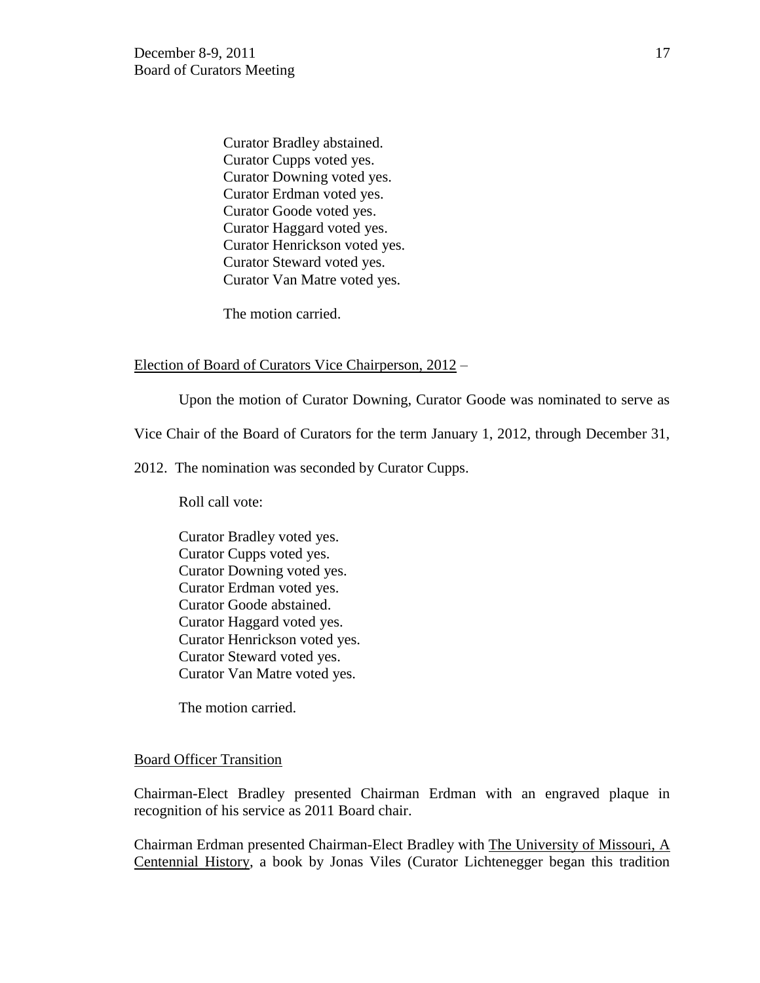Curator Bradley abstained. Curator Cupps voted yes. Curator Downing voted yes. Curator Erdman voted yes. Curator Goode voted yes. Curator Haggard voted yes. Curator Henrickson voted yes. Curator Steward voted yes. Curator Van Matre voted yes.

The motion carried.

### Election of Board of Curators Vice Chairperson, 2012 –

Upon the motion of Curator Downing, Curator Goode was nominated to serve as

Vice Chair of the Board of Curators for the term January 1, 2012, through December 31,

2012. The nomination was seconded by Curator Cupps.

Roll call vote:

Curator Bradley voted yes. Curator Cupps voted yes. Curator Downing voted yes. Curator Erdman voted yes. Curator Goode abstained. Curator Haggard voted yes. Curator Henrickson voted yes. Curator Steward voted yes. Curator Van Matre voted yes.

The motion carried.

### Board Officer Transition

Chairman-Elect Bradley presented Chairman Erdman with an engraved plaque in recognition of his service as 2011 Board chair.

Chairman Erdman presented Chairman-Elect Bradley with The University of Missouri, A Centennial History, a book by Jonas Viles (Curator Lichtenegger began this tradition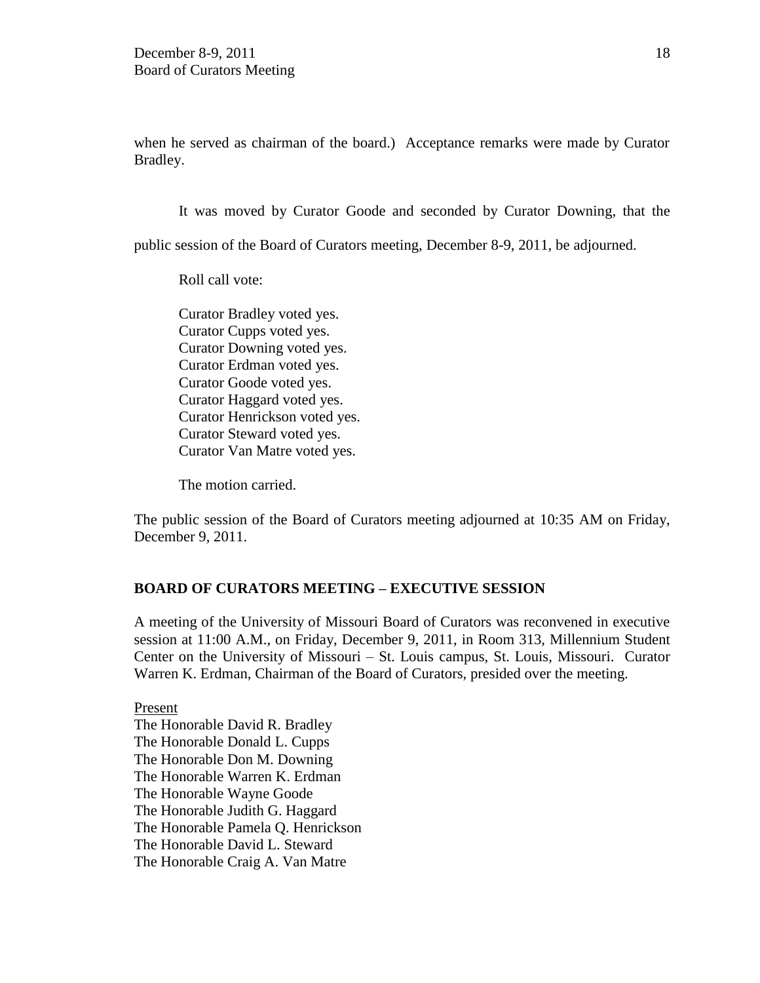when he served as chairman of the board.) Acceptance remarks were made by Curator Bradley.

It was moved by Curator Goode and seconded by Curator Downing, that the

public session of the Board of Curators meeting, December 8-9, 2011, be adjourned.

Roll call vote:

Curator Bradley voted yes. Curator Cupps voted yes. Curator Downing voted yes. Curator Erdman voted yes. Curator Goode voted yes. Curator Haggard voted yes. Curator Henrickson voted yes. Curator Steward voted yes. Curator Van Matre voted yes.

The motion carried.

The public session of the Board of Curators meeting adjourned at 10:35 AM on Friday, December 9, 2011.

# **BOARD OF CURATORS MEETING – EXECUTIVE SESSION**

A meeting of the University of Missouri Board of Curators was reconvened in executive session at 11:00 A.M., on Friday, December 9, 2011, in Room 313, Millennium Student Center on the University of Missouri – St. Louis campus, St. Louis, Missouri. Curator Warren K. Erdman, Chairman of the Board of Curators, presided over the meeting.

Present The Honorable David R. Bradley The Honorable Donald L. Cupps The Honorable Don M. Downing The Honorable Warren K. Erdman The Honorable Wayne Goode The Honorable Judith G. Haggard The Honorable Pamela Q. Henrickson The Honorable David L. Steward The Honorable Craig A. Van Matre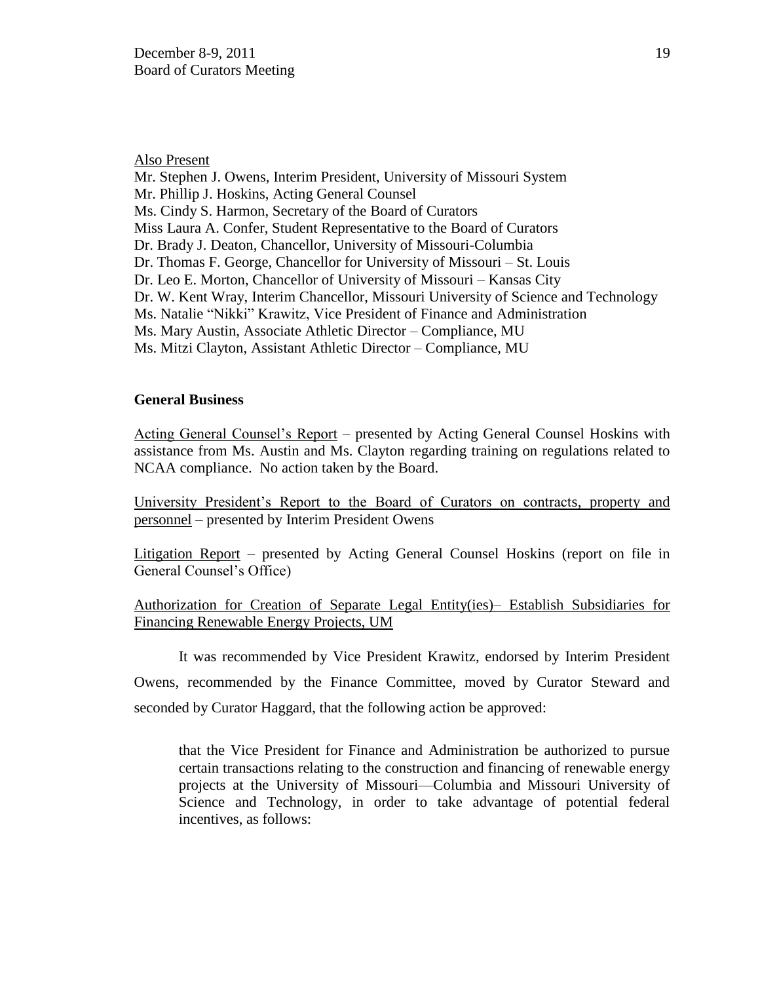### Also Present

Mr. Stephen J. Owens, Interim President, University of Missouri System Mr. Phillip J. Hoskins, Acting General Counsel Ms. Cindy S. Harmon, Secretary of the Board of Curators Miss Laura A. Confer, Student Representative to the Board of Curators Dr. Brady J. Deaton, Chancellor, University of Missouri-Columbia Dr. Thomas F. George, Chancellor for University of Missouri – St. Louis Dr. Leo E. Morton, Chancellor of University of Missouri – Kansas City Dr. W. Kent Wray, Interim Chancellor, Missouri University of Science and Technology Ms. Natalie "Nikki" Krawitz, Vice President of Finance and Administration Ms. Mary Austin, Associate Athletic Director – Compliance, MU Ms. Mitzi Clayton, Assistant Athletic Director – Compliance, MU

### **General Business**

Acting General Counsel's Report – presented by Acting General Counsel Hoskins with assistance from Ms. Austin and Ms. Clayton regarding training on regulations related to NCAA compliance. No action taken by the Board.

University President's Report to the Board of Curators on contracts, property and personnel – presented by Interim President Owens

Litigation Report – presented by Acting General Counsel Hoskins (report on file in General Counsel's Office)

Authorization for Creation of Separate Legal Entity(ies)– Establish Subsidiaries for Financing Renewable Energy Projects, UM

It was recommended by Vice President Krawitz, endorsed by Interim President Owens, recommended by the Finance Committee, moved by Curator Steward and seconded by Curator Haggard, that the following action be approved:

that the Vice President for Finance and Administration be authorized to pursue certain transactions relating to the construction and financing of renewable energy projects at the University of Missouri—Columbia and Missouri University of Science and Technology, in order to take advantage of potential federal incentives, as follows: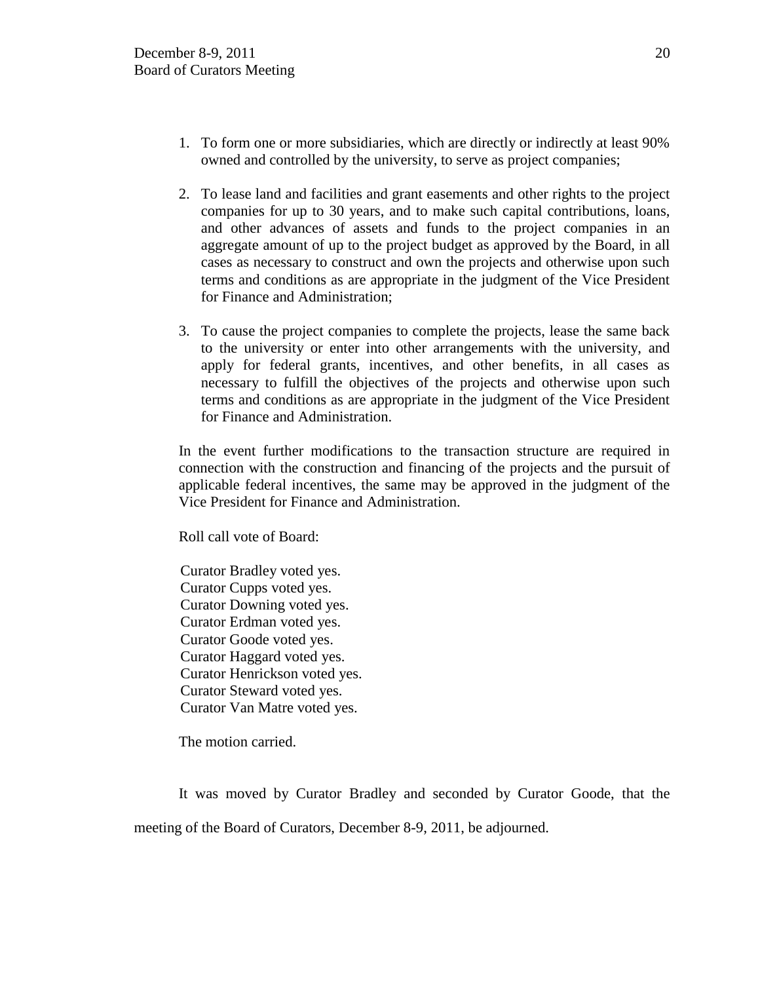- 1. To form one or more subsidiaries, which are directly or indirectly at least 90% owned and controlled by the university, to serve as project companies;
- 2. To lease land and facilities and grant easements and other rights to the project companies for up to 30 years, and to make such capital contributions, loans, and other advances of assets and funds to the project companies in an aggregate amount of up to the project budget as approved by the Board, in all cases as necessary to construct and own the projects and otherwise upon such terms and conditions as are appropriate in the judgment of the Vice President for Finance and Administration;
- 3. To cause the project companies to complete the projects, lease the same back to the university or enter into other arrangements with the university, and apply for federal grants, incentives, and other benefits, in all cases as necessary to fulfill the objectives of the projects and otherwise upon such terms and conditions as are appropriate in the judgment of the Vice President for Finance and Administration.

In the event further modifications to the transaction structure are required in connection with the construction and financing of the projects and the pursuit of applicable federal incentives, the same may be approved in the judgment of the Vice President for Finance and Administration.

Roll call vote of Board:

Curator Bradley voted yes. Curator Cupps voted yes. Curator Downing voted yes. Curator Erdman voted yes. Curator Goode voted yes. Curator Haggard voted yes. Curator Henrickson voted yes. Curator Steward voted yes. Curator Van Matre voted yes.

The motion carried.

It was moved by Curator Bradley and seconded by Curator Goode, that the meeting of the Board of Curators, December 8-9, 2011, be adjourned.